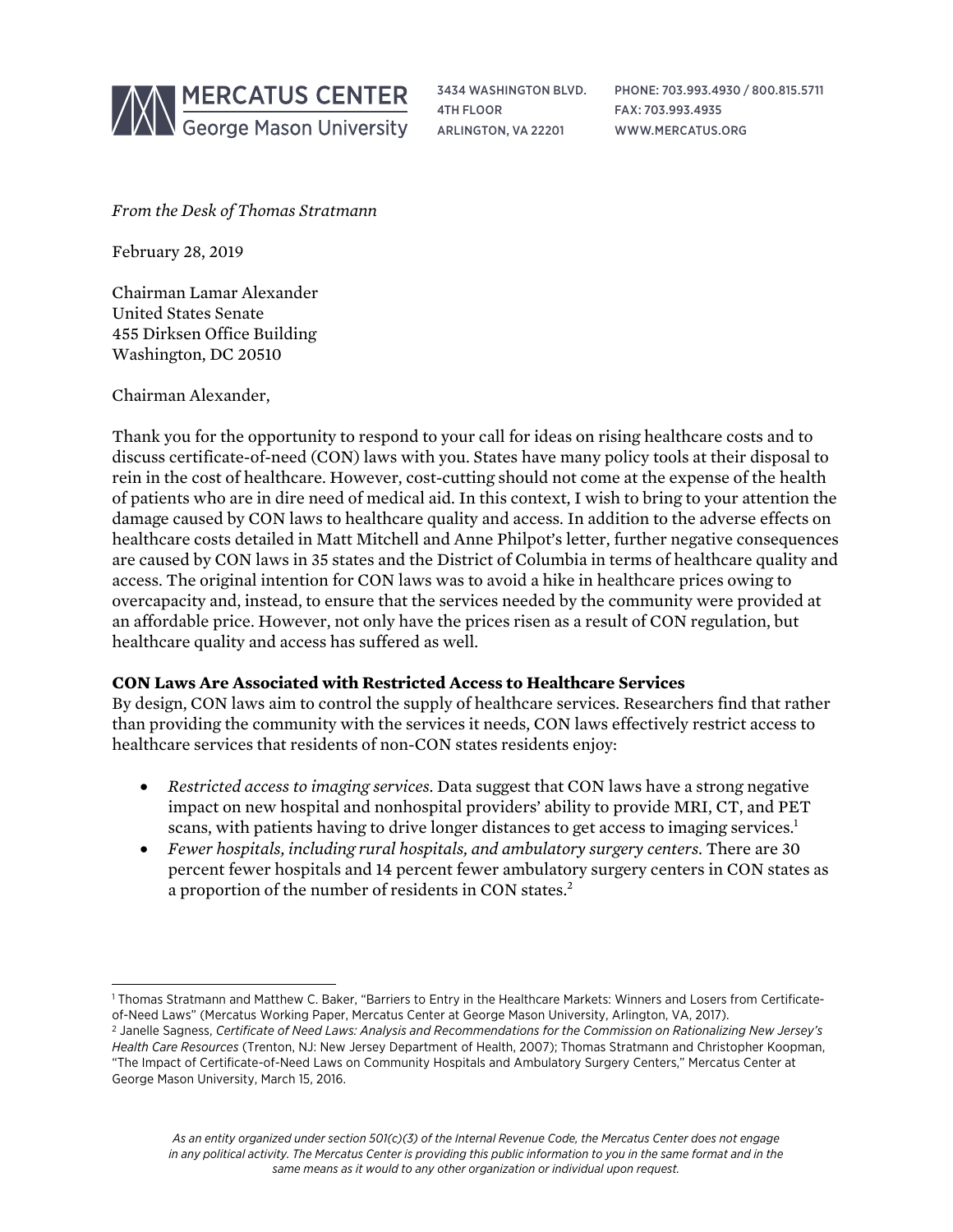

3434 WASHINGTON BLVD. 4TH FLOOR ARLINGTON, VA 22201

PHONE: 703.993.4930 / 800.815.5711 FAX: 703.993.4935 WWW.MERCATUS.ORG

*From the Desk of Thomas Stratmann*

February 28, 2019

Chairman Lamar Alexander United States Senate 455 Dirksen Office Building Washington, DC 20510

Chairman Alexander,

Thank you for the opportunity to respond to your call for ideas on rising healthcare costs and to discuss certificate-of-need (CON) laws with you. States have many policy tools at their disposal to rein in the cost of healthcare. However, cost-cutting should not come at the expense of the health of patients who are in dire need of medical aid. In this context, I wish to bring to your attention the damage caused by CON laws to healthcare quality and access. In addition to the adverse effects on healthcare costs detailed in Matt Mitchell and Anne Philpot's letter, further negative consequences are caused by CON laws in 35 states and the District of Columbia in terms of healthcare quality and access. The original intention for CON laws was to avoid a hike in healthcare prices owing to overcapacity and, instead, to ensure that the services needed by the community were provided at an affordable price. However, not only have the prices risen as a result of CON regulation, but healthcare quality and access has suffered as well.

## **CON Laws Are Associated with Restricted Access to Healthcare Services**

By design, CON laws aim to control the supply of healthcare services. Researchers find that rather than providing the community with the services it needs, CON laws effectively restrict access to healthcare services that residents of non-CON states residents enjoy:

- *Restricted access to imaging services.* Data suggest that CON laws have a strong negative impact on new hospital and nonhospital providers' ability to provide MRI, CT, and PET scans, with patients having to drive longer distances to get access to imaging services.<sup>1</sup>
- *Fewer hospitals, including rural hospitals, and ambulatory surgery centers.* There are 30 percent fewer hospitals and 14 percent fewer ambulatory surgery centers in CON states as a proportion of the number of residents in CON states.<sup>2</sup>

l <sup>1</sup> Thomas Stratmann and Matthew C. Baker, "Barriers to Entry in the Healthcare Markets: Winners and Losers from Certificateof-Need Laws" (Mercatus Working Paper, Mercatus Center at George Mason University, Arlington, VA, 2017).

<sup>2</sup> Janelle Sagness, *Certificate of Need Laws: Analysis and Recommendations for the Commission on Rationalizing New Jersey's Health Care Resources* (Trenton, NJ: New Jersey Department of Health, 2007); Thomas Stratmann and Christopher Koopman, "The Impact of Certificate-of-Need Laws on Community Hospitals and Ambulatory Surgery Centers," Mercatus Center at George Mason University, March 15, 2016.